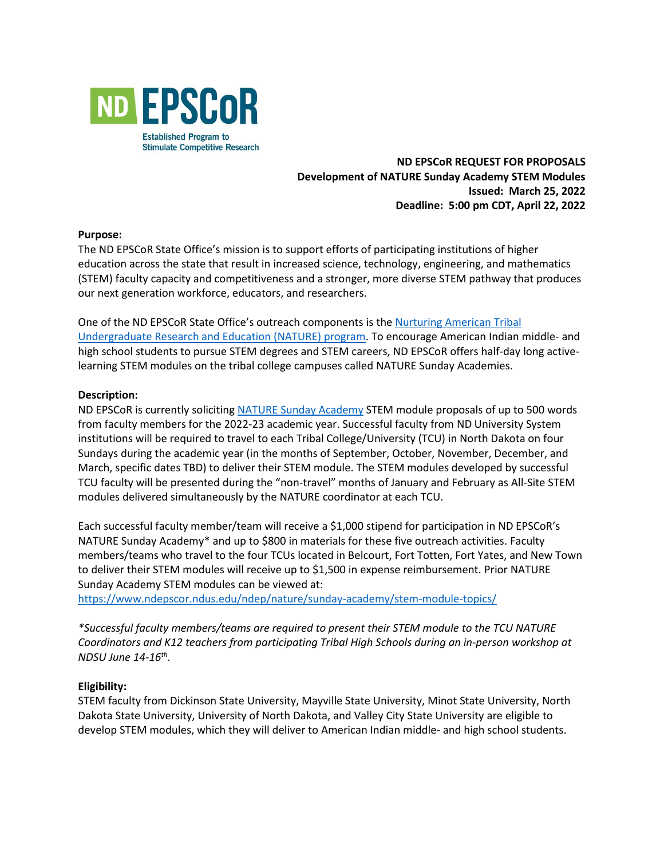

# **ND EPSCoR REQUEST FOR PROPOSALS Development of NATURE Sunday Academy STEM Modules Issued: March 25, 2022 Deadline: 5:00 pm CDT, April 22, 2022**

#### **Purpose:**

The ND EPSCoR State Office's mission is to support efforts of participating institutions of higher education across the state that result in increased science, technology, engineering, and mathematics (STEM) faculty capacity and competitiveness and a stronger, more diverse STEM pathway that produces our next generation workforce, educators, and researchers.

# One of the ND EPSCoR State Office's outreach components is the [Nurturing American Tribal](https://www.ndepscor.ndus.edu/nd-epscor-programs/nature/)  [Undergraduate Research and Education \(NATURE\) program.](https://www.ndepscor.ndus.edu/nd-epscor-programs/nature/) To encourage American Indian middle- and high school students to pursue STEM degrees and STEM careers, ND EPSCoR offers half-day long activelearning STEM modules on the tribal college campuses called NATURE Sunday Academies.

#### **Description:**

ND EPSCoR is currently soliciting [NATURE Sunday Academy](https://www.ndepscor.ndus.edu/ndep/nature/sunday-academy/) STEM module proposals of up to 500 words from faculty members for the 2022-23 academic year. Successful faculty from ND University System institutions will be required to travel to each Tribal College/University (TCU) in North Dakota on four Sundays during the academic year (in the months of September, October, November, December, and March, specific dates TBD) to deliver their STEM module. The STEM modules developed by successful TCU faculty will be presented during the "non-travel" months of January and February as All-Site STEM modules delivered simultaneously by the NATURE coordinator at each TCU.

Each successful faculty member/team will receive a \$1,000 stipend for participation in ND EPSCoR's NATURE Sunday Academy\* and up to \$800 in materials for these five outreach activities. Faculty members/teams who travel to the four TCUs located in Belcourt, Fort Totten, Fort Yates, and New Town to deliver their STEM modules will receive up to \$1,500 in expense reimbursement. Prior NATURE Sunday Academy STEM modules can be viewed at:

<https://www.ndepscor.ndus.edu/ndep/nature/sunday-academy/stem-module-topics/>

*\*Successful faculty members/teams are required to present their STEM module to the TCU NATURE Coordinators and K12 teachers from participating Tribal High Schools during an in-person workshop at NDSU June 14-16 th .*

#### **Eligibility:**

STEM faculty from Dickinson State University, Mayville State University, Minot State University, North Dakota State University, University of North Dakota, and Valley City State University are eligible to develop STEM modules, which they will deliver to American Indian middle- and high school students.